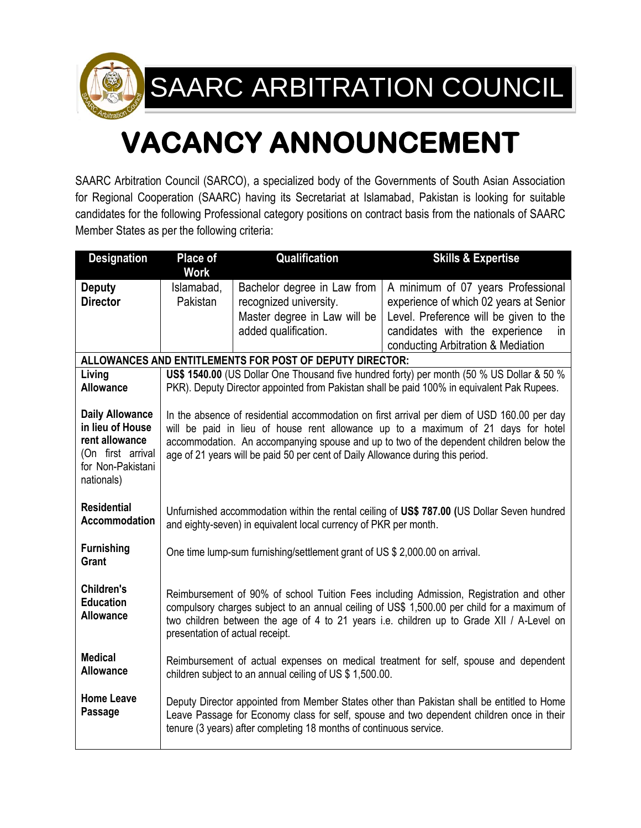SAARC ARBITRATION COUNCIL

# **VACANCY ANNOUNCEMENT**

SAARC Arbitration Council (SARCO), a specialized body of the Governments of South Asian Association for Regional Cooperation (SAARC) having its Secretariat at Islamabad, Pakistan is looking for suitable candidates for the following Professional category positions on contract basis from the nationals of SAARC Member States as per the following criteria:

| <b>Designation</b>                                                                                                   | Place of<br><b>Work</b>                                                                                                                                                                                                                                                                                                                                        | Qualification                | <b>Skills &amp; Expertise</b>          |  |  |
|----------------------------------------------------------------------------------------------------------------------|----------------------------------------------------------------------------------------------------------------------------------------------------------------------------------------------------------------------------------------------------------------------------------------------------------------------------------------------------------------|------------------------------|----------------------------------------|--|--|
| <b>Deputy</b>                                                                                                        | Islamabad,                                                                                                                                                                                                                                                                                                                                                     | Bachelor degree in Law from  | A minimum of 07 years Professional     |  |  |
| <b>Director</b>                                                                                                      | Pakistan                                                                                                                                                                                                                                                                                                                                                       | recognized university.       | experience of which 02 years at Senior |  |  |
|                                                                                                                      |                                                                                                                                                                                                                                                                                                                                                                | Master degree in Law will be | Level. Preference will be given to the |  |  |
|                                                                                                                      |                                                                                                                                                                                                                                                                                                                                                                | added qualification.         | candidates with the experience<br>in.  |  |  |
|                                                                                                                      |                                                                                                                                                                                                                                                                                                                                                                |                              | conducting Arbitration & Mediation     |  |  |
| ALLOWANCES AND ENTITLEMENTS FOR POST OF DEPUTY DIRECTOR:                                                             |                                                                                                                                                                                                                                                                                                                                                                |                              |                                        |  |  |
| Living                                                                                                               | US\$ 1540.00 (US Dollar One Thousand five hundred forty) per month (50 % US Dollar & 50 %                                                                                                                                                                                                                                                                      |                              |                                        |  |  |
| <b>Allowance</b>                                                                                                     | PKR). Deputy Director appointed from Pakistan shall be paid 100% in equivalent Pak Rupees.                                                                                                                                                                                                                                                                     |                              |                                        |  |  |
| <b>Daily Allowance</b><br>in lieu of House<br>rent allowance<br>(On first arrival<br>for Non-Pakistani<br>nationals) | In the absence of residential accommodation on first arrival per diem of USD 160.00 per day<br>will be paid in lieu of house rent allowance up to a maximum of 21 days for hotel<br>accommodation. An accompanying spouse and up to two of the dependent children below the<br>age of 21 years will be paid 50 per cent of Daily Allowance during this period. |                              |                                        |  |  |
| <b>Residential</b><br>Accommodation                                                                                  | Unfurnished accommodation within the rental ceiling of US\$ 787.00 (US Dollar Seven hundred<br>and eighty-seven) in equivalent local currency of PKR per month.                                                                                                                                                                                                |                              |                                        |  |  |
| <b>Furnishing</b><br><b>Grant</b>                                                                                    | One time lump-sum furnishing/settlement grant of US \$ 2,000.00 on arrival.                                                                                                                                                                                                                                                                                    |                              |                                        |  |  |
| <b>Children's</b><br><b>Education</b><br><b>Allowance</b>                                                            | Reimbursement of 90% of school Tuition Fees including Admission, Registration and other<br>compulsory charges subject to an annual ceiling of US\$ 1,500.00 per child for a maximum of<br>two children between the age of 4 to 21 years i.e. children up to Grade XII / A-Level on<br>presentation of actual receipt.                                          |                              |                                        |  |  |
| <b>Medical</b><br><b>Allowance</b>                                                                                   | Reimbursement of actual expenses on medical treatment for self, spouse and dependent<br>children subject to an annual ceiling of US \$1,500.00.                                                                                                                                                                                                                |                              |                                        |  |  |
| <b>Home Leave</b><br>Passage                                                                                         | Deputy Director appointed from Member States other than Pakistan shall be entitled to Home<br>Leave Passage for Economy class for self, spouse and two dependent children once in their<br>tenure (3 years) after completing 18 months of continuous service.                                                                                                  |                              |                                        |  |  |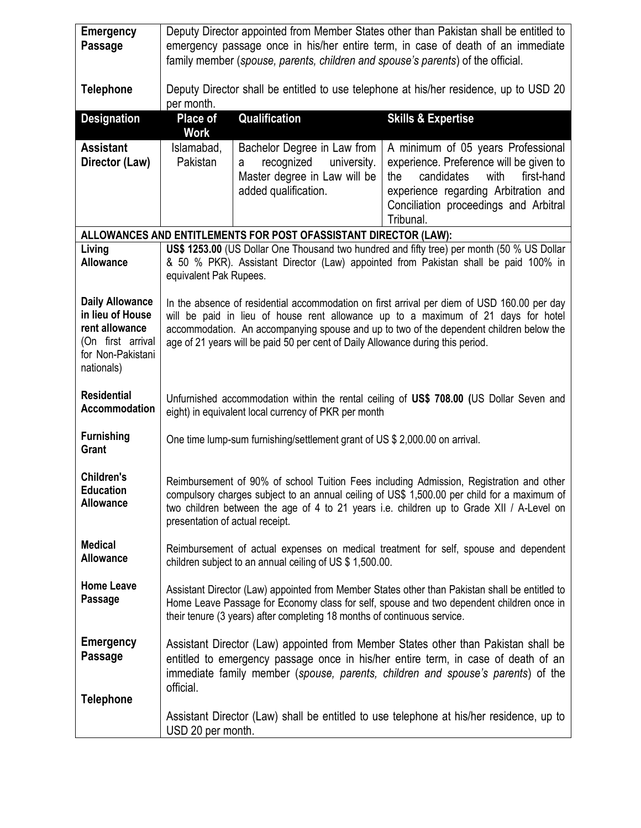| <b>Emergency</b><br>Passage                                                                                          | Deputy Director appointed from Member States other than Pakistan shall be entitled to<br>emergency passage once in his/her entire term, in case of death of an immediate<br>family member (spouse, parents, children and spouse's parents) of the official.                                                                                                    |                                                                                                                       |                                                                                                                                                                                                                        |  |
|----------------------------------------------------------------------------------------------------------------------|----------------------------------------------------------------------------------------------------------------------------------------------------------------------------------------------------------------------------------------------------------------------------------------------------------------------------------------------------------------|-----------------------------------------------------------------------------------------------------------------------|------------------------------------------------------------------------------------------------------------------------------------------------------------------------------------------------------------------------|--|
| <b>Telephone</b>                                                                                                     | Deputy Director shall be entitled to use telephone at his/her residence, up to USD 20<br>per month.                                                                                                                                                                                                                                                            |                                                                                                                       |                                                                                                                                                                                                                        |  |
| <b>Designation</b>                                                                                                   | Place of<br><b>Work</b>                                                                                                                                                                                                                                                                                                                                        | <b>Qualification</b>                                                                                                  | <b>Skills &amp; Expertise</b>                                                                                                                                                                                          |  |
| <b>Assistant</b><br>Director (Law)                                                                                   | Islamabad,<br>Pakistan                                                                                                                                                                                                                                                                                                                                         | Bachelor Degree in Law from<br>university.<br>recognized<br>a<br>Master degree in Law will be<br>added qualification. | A minimum of 05 years Professional<br>experience. Preference will be given to<br>candidates<br>the<br>with<br>first-hand<br>experience regarding Arbitration and<br>Conciliation proceedings and Arbitral<br>Tribunal. |  |
| ALLOWANCES AND ENTITLEMENTS FOR POST OFASSISTANT DIRECTOR (LAW):                                                     |                                                                                                                                                                                                                                                                                                                                                                |                                                                                                                       |                                                                                                                                                                                                                        |  |
| Living<br><b>Allowance</b>                                                                                           | US\$ 1253.00 (US Dollar One Thousand two hundred and fifty tree) per month (50 % US Dollar<br>& 50 % PKR). Assistant Director (Law) appointed from Pakistan shall be paid 100% in<br>equivalent Pak Rupees.                                                                                                                                                    |                                                                                                                       |                                                                                                                                                                                                                        |  |
| <b>Daily Allowance</b><br>in lieu of House<br>rent allowance<br>(On first arrival<br>for Non-Pakistani<br>nationals) | In the absence of residential accommodation on first arrival per diem of USD 160.00 per day<br>will be paid in lieu of house rent allowance up to a maximum of 21 days for hotel<br>accommodation. An accompanying spouse and up to two of the dependent children below the<br>age of 21 years will be paid 50 per cent of Daily Allowance during this period. |                                                                                                                       |                                                                                                                                                                                                                        |  |
| <b>Residential</b><br><b>Accommodation</b>                                                                           | Unfurnished accommodation within the rental ceiling of US\$ 708.00 (US Dollar Seven and<br>eight) in equivalent local currency of PKR per month                                                                                                                                                                                                                |                                                                                                                       |                                                                                                                                                                                                                        |  |
| <b>Furnishing</b><br><b>Grant</b>                                                                                    | One time lump-sum furnishing/settlement grant of US \$ 2,000.00 on arrival.                                                                                                                                                                                                                                                                                    |                                                                                                                       |                                                                                                                                                                                                                        |  |
| <b>Children's</b><br><b>Education</b><br><b>Allowance</b>                                                            | Reimbursement of 90% of school Tuition Fees including Admission, Registration and other<br>compulsory charges subject to an annual ceiling of US\$ 1,500.00 per child for a maximum of<br>two children between the age of 4 to 21 years i.e. children up to Grade XII / A-Level on<br>presentation of actual receipt.                                          |                                                                                                                       |                                                                                                                                                                                                                        |  |
| <b>Medical</b><br><b>Allowance</b>                                                                                   | Reimbursement of actual expenses on medical treatment for self, spouse and dependent<br>children subject to an annual ceiling of US \$1,500.00.                                                                                                                                                                                                                |                                                                                                                       |                                                                                                                                                                                                                        |  |
| <b>Home Leave</b><br>Passage                                                                                         | Assistant Director (Law) appointed from Member States other than Pakistan shall be entitled to<br>Home Leave Passage for Economy class for self, spouse and two dependent children once in<br>their tenure (3 years) after completing 18 months of continuous service.                                                                                         |                                                                                                                       |                                                                                                                                                                                                                        |  |
| <b>Emergency</b><br>Passage                                                                                          | Assistant Director (Law) appointed from Member States other than Pakistan shall be<br>entitled to emergency passage once in his/her entire term, in case of death of an<br>immediate family member (spouse, parents, children and spouse's parents) of the<br>official.                                                                                        |                                                                                                                       |                                                                                                                                                                                                                        |  |
| <b>Telephone</b>                                                                                                     |                                                                                                                                                                                                                                                                                                                                                                |                                                                                                                       |                                                                                                                                                                                                                        |  |
|                                                                                                                      | Assistant Director (Law) shall be entitled to use telephone at his/her residence, up to<br>USD 20 per month.                                                                                                                                                                                                                                                   |                                                                                                                       |                                                                                                                                                                                                                        |  |